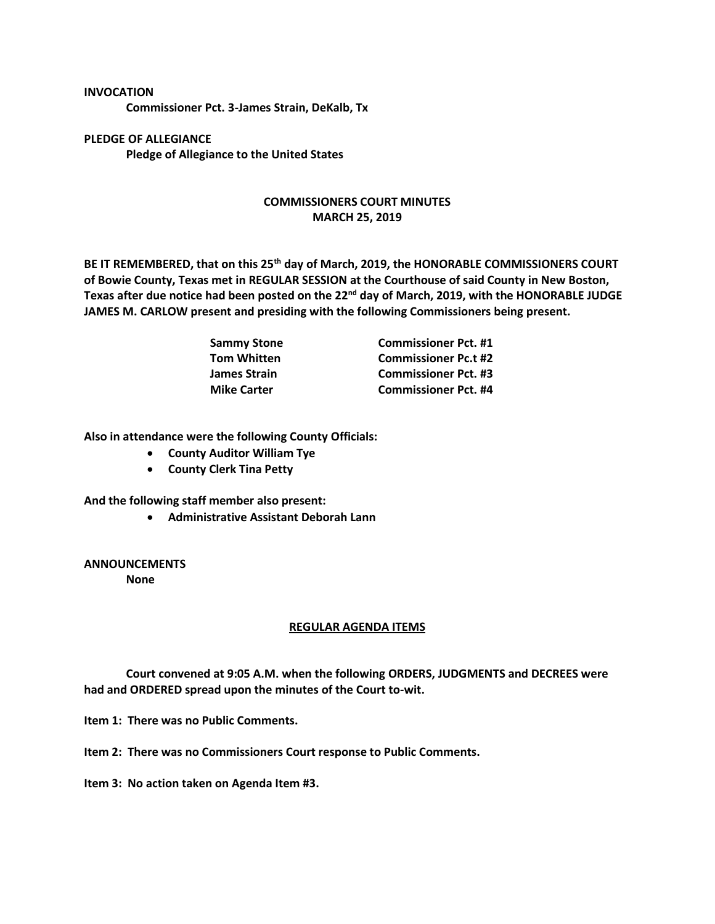## **INVOCATION**

**Commissioner Pct. 3-James Strain, DeKalb, Tx**

**PLEDGE OF ALLEGIANCE Pledge of Allegiance to the United States**

## **COMMISSIONERS COURT MINUTES MARCH 25, 2019**

**BE IT REMEMBERED, that on this 25th day of March, 2019, the HONORABLE COMMISSIONERS COURT of Bowie County, Texas met in REGULAR SESSION at the Courthouse of said County in New Boston, Texas after due notice had been posted on the 22nd day of March, 2019, with the HONORABLE JUDGE JAMES M. CARLOW present and presiding with the following Commissioners being present.**

| <b>Sammy Stone</b> | <b>Commissioner Pct. #1</b> |
|--------------------|-----------------------------|
| <b>Tom Whitten</b> | <b>Commissioner Pc.t #2</b> |
| James Strain       | <b>Commissioner Pct. #3</b> |
| <b>Mike Carter</b> | <b>Commissioner Pct. #4</b> |

**Also in attendance were the following County Officials:**

- **County Auditor William Tye**
- **County Clerk Tina Petty**

**And the following staff member also present:**

• **Administrative Assistant Deborah Lann**

**ANNOUNCEMENTS**

**None**

## **REGULAR AGENDA ITEMS**

**Court convened at 9:05 A.M. when the following ORDERS, JUDGMENTS and DECREES were had and ORDERED spread upon the minutes of the Court to-wit.**

**Item 1: There was no Public Comments.**

**Item 2: There was no Commissioners Court response to Public Comments.**

**Item 3: No action taken on Agenda Item #3.**